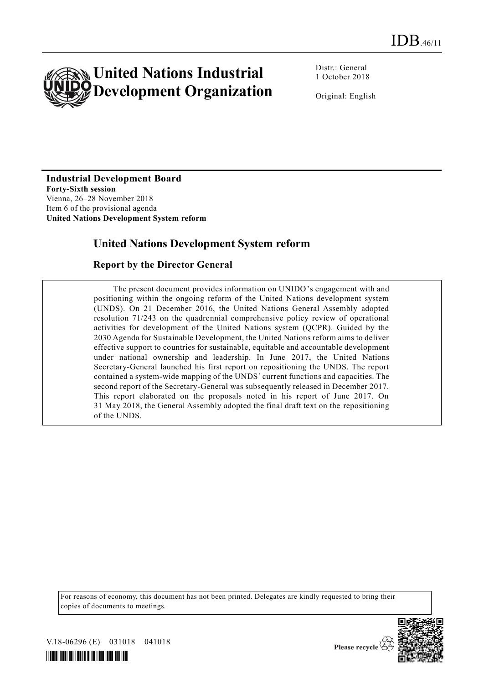

Distr.: General 1 October 2018

Original: English

# **Industrial Development Board**

**Forty-Sixth session** Vienna, 26–28 November 2018 Item 6 of the provisional agenda **United Nations Development System reform**

### **United Nations Development System reform**

#### **Report by the Director General**

The present document provides information on UNIDO's engagement with and positioning within the ongoing reform of the United Nations development system (UNDS). On 21 December 2016, the United Nations General Assembly adopted resolution 71/243 on the quadrennial comprehensive policy review of operational activities for development of the United Nations system (QCPR). Guided by the 2030 Agenda for Sustainable Development, the United Nations reform aims to deliver effective support to countries for sustainable, equitable and accountable development under national ownership and leadership. In June 2017, the United Nations Secretary-General launched his first report on repositioning the UNDS. The report contained a system-wide mapping of the UNDS' current functions and capacities. The second report of the Secretary-General was subsequently released in December 2017. This report elaborated on the proposals noted in his report of June 2017. On 31 May 2018, the General Assembly adopted the final draft text on the repositioning of the UNDS.

For reasons of economy, this document has not been printed. Delegates are kindly requested to bring their copies of documents to meetings.



V.18-06296 (E) 031018 041018



Please recycle  $\check{\mathfrak{C}}$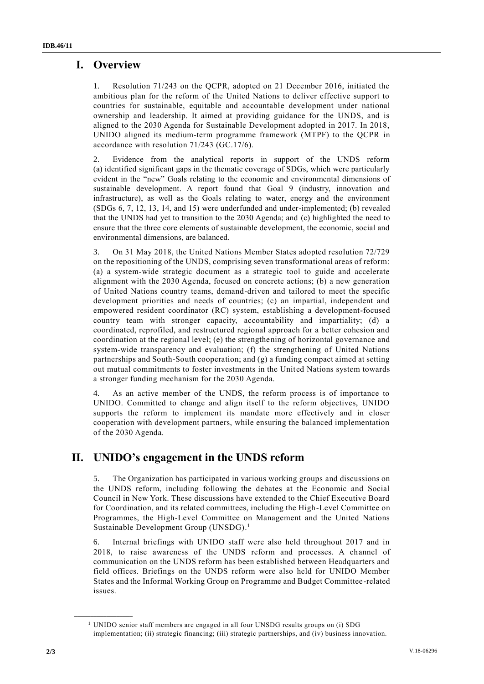### **I. Overview**

1. Resolution 71/243 on the QCPR, adopted on 21 December 2016, initiated the ambitious plan for the reform of the United Nations to deliver effective support to countries for sustainable, equitable and accountable development under national ownership and leadership. It aimed at providing guidance for the UNDS, and is aligned to the 2030 Agenda for Sustainable Development adopted in 2017. In 2018, UNIDO aligned its medium-term programme framework (MTPF) to the QCPR in accordance with resolution 71/243 (GC.17/6).

2. Evidence from the analytical reports in support of the UNDS reform (a) identified significant gaps in the thematic coverage of SDGs, which were particularly evident in the "new" Goals relating to the economic and environmental dimensions of sustainable development. A report found that Goal 9 (industry, innovation and infrastructure), as well as the Goals relating to water, energy and the environment (SDGs 6, 7, 12, 13, 14, and 15) were underfunded and under-implemented; (b) revealed that the UNDS had yet to transition to the 2030 Agenda; and (c) highlighted the need to ensure that the three core elements of sustainable development, the economic, social and environmental dimensions, are balanced.

3. On 31 May 2018, the United Nations Member States adopted resolution 72/729 on the repositioning of the UNDS, comprising seven transformational areas of reform: (a) a system-wide strategic document as a strategic tool to guide and accelerate alignment with the 2030 Agenda, focused on concrete actions; (b) a new generation of United Nations country teams, demand-driven and tailored to meet the specific development priorities and needs of countries; (c) an impartial, independent and empowered resident coordinator (RC) system, establishing a development-focused country team with stronger capacity, accountability and impartiality; (d) a coordinated, reprofiled, and restructured regional approach for a better cohesion and coordination at the regional level; (e) the strengthening of horizontal governance and system-wide transparency and evaluation; (f) the strengthening of United Nations partnerships and South-South cooperation; and (g) a funding compact aimed at setting out mutual commitments to foster investments in the United Nations system towards a stronger funding mechanism for the 2030 Agenda.

4. As an active member of the UNDS, the reform process is of importance to UNIDO. Committed to change and align itself to the reform objectives, UNIDO supports the reform to implement its mandate more effectively and in closer cooperation with development partners, while ensuring the balanced implementation of the 2030 Agenda.

## **II. UNIDO's engagement in the UNDS reform**

5. The Organization has participated in various working groups and discussions on the UNDS reform, including following the debates at the Economic and Social Council in New York. These discussions have extended to the Chief Executive Board for Coordination, and its related committees, including the High-Level Committee on Programmes, the High-Level Committee on Management and the United Nations Sustainable Development Group (UNSDG). 1

6. Internal briefings with UNIDO staff were also held throughout 2017 and in 2018, to raise awareness of the UNDS reform and processes. A channel of communication on the UNDS reform has been established between Headquarters and field offices. Briefings on the UNDS reform were also held for UNIDO Member States and the Informal Working Group on Programme and Budget Committee -related issues.

**\_\_\_\_\_\_\_\_\_\_\_\_\_\_\_\_\_\_**

<sup>&</sup>lt;sup>1</sup> UNIDO senior staff members are engaged in all four UNSDG results groups on (i) SDG implementation; (ii) strategic financing; (iii) strategic partnerships, and (iv) business innovation.